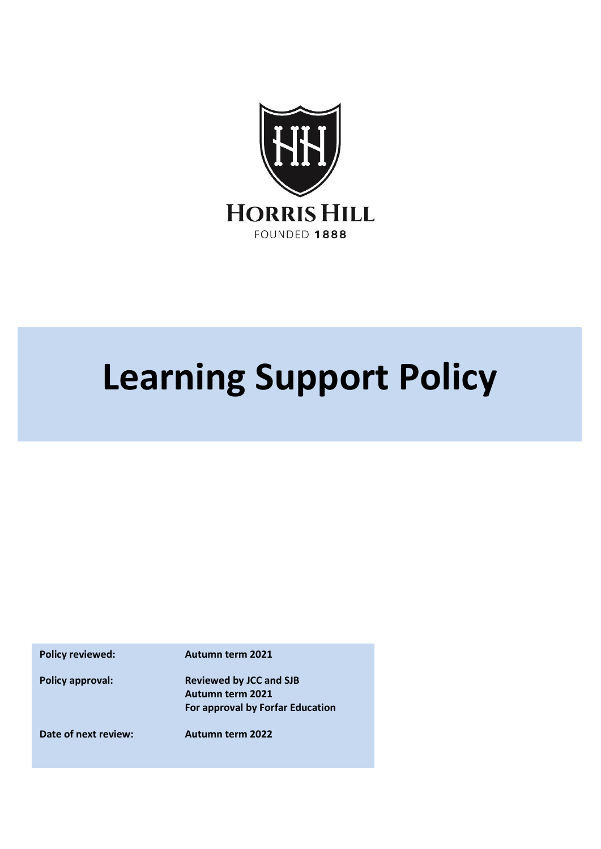

## **Learning Support Policy**

**Policy reviewed: Autumn term 2021**

**Policy approval: Reviewed by JCC and SJB Autumn term 2021 For approval by Forfar Education**

**Date of next review: Autumn term 2022**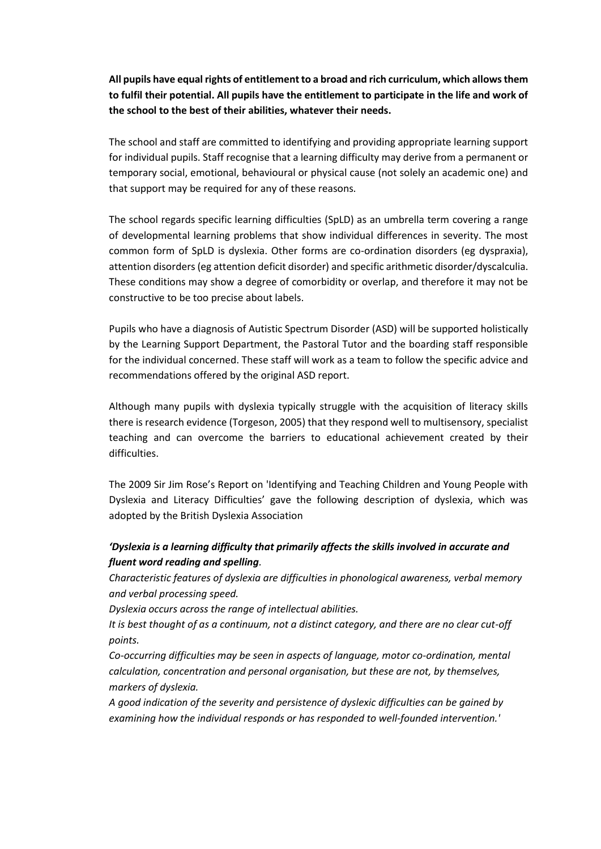**All pupils have equal rights of entitlement to a broad and rich curriculum, which allows them to fulfil their potential. All pupils have the entitlement to participate in the life and work of the school to the best of their abilities, whatever their needs.**

The school and staff are committed to identifying and providing appropriate learning support for individual pupils. Staff recognise that a learning difficulty may derive from a permanent or temporary social, emotional, behavioural or physical cause (not solely an academic one) and that support may be required for any of these reasons.

The school regards specific learning difficulties (SpLD) as an umbrella term covering a range of developmental learning problems that show individual differences in severity. The most common form of SpLD is dyslexia. Other forms are co-ordination disorders (eg dyspraxia), attention disorders (eg attention deficit disorder) and specific arithmetic disorder/dyscalculia. These conditions may show a degree of comorbidity or overlap, and therefore it may not be constructive to be too precise about labels.

Pupils who have a diagnosis of Autistic Spectrum Disorder (ASD) will be supported holistically by the Learning Support Department, the Pastoral Tutor and the boarding staff responsible for the individual concerned. These staff will work as a team to follow the specific advice and recommendations offered by the original ASD report.

Although many pupils with dyslexia typically struggle with the acquisition of literacy skills there is research evidence (Torgeson, 2005) that they respond well to multisensory, specialist teaching and can overcome the barriers to educational achievement created by their difficulties.

The 2009 Sir Jim Rose's Report on 'Identifying and Teaching Children and Young People with Dyslexia and Literacy Difficulties' gave the following description of dyslexia, which was adopted by the British Dyslexia Association

## *'Dyslexia is a learning difficulty that primarily affects the skills involved in accurate and fluent word reading and spelling.*

*Characteristic features of dyslexia are difficulties in phonological awareness, verbal memory and verbal processing speed.* 

*Dyslexia occurs across the range of intellectual abilities.*

*It is best thought of as a continuum, not a distinct category, and there are no clear cut-off points.* 

*Co-occurring difficulties may be seen in aspects of language, motor co-ordination, mental calculation, concentration and personal organisation, but these are not, by themselves, markers of dyslexia.* 

*A good indication of the severity and persistence of dyslexic difficulties can be gained by examining how the individual responds or has responded to well-founded intervention.'*